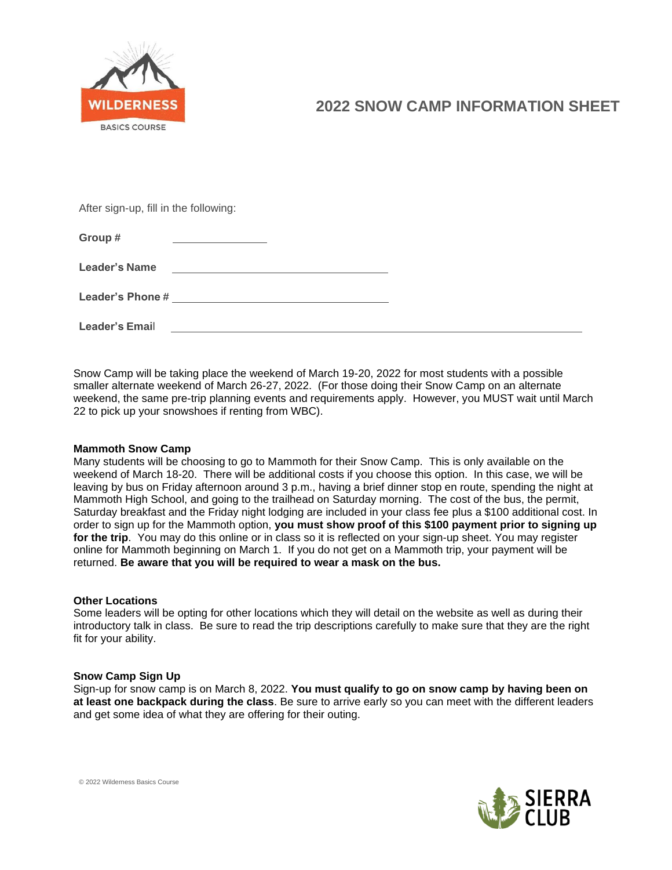

After sign-up, fill in the following:

| Group #              |  |  |
|----------------------|--|--|
| <b>Leader's Name</b> |  |  |
| Leader's Phone #     |  |  |
| Leader's Email       |  |  |

Snow Camp will be taking place the weekend of March 19-20, 2022 for most students with a possible smaller alternate weekend of March 26-27, 2022. (For those doing their Snow Camp on an alternate weekend, the same pre-trip planning events and requirements apply. However, you MUST wait until March 22 to pick up your snowshoes if renting from WBC).

## **Mammoth Snow Camp**

Many students will be choosing to go to Mammoth for their Snow Camp. This is only available on the weekend of March 18-20. There will be additional costs if you choose this option. In this case, we will be leaving by bus on Friday afternoon around 3 p.m., having a brief dinner stop en route, spending the night at Mammoth High School, and going to the trailhead on Saturday morning. The cost of the bus, the permit, Saturday breakfast and the Friday night lodging are included in your class fee plus a \$100 additional cost. In order to sign up for the Mammoth option, **you must show proof of this \$100 payment prior to signing up for the trip**. You may do this online or in class so it is reflected on your sign-up sheet. You may register online for Mammoth beginning on March 1. If you do not get on a Mammoth trip, your payment will be returned. **Be aware that you will be required to wear a mask on the bus.**

#### **Other Locations**

Some leaders will be opting for other locations which they will detail on the website as well as during their introductory talk in class. Be sure to read the trip descriptions carefully to make sure that they are the right fit for your ability.

#### **Snow Camp Sign Up**

Sign-up for snow camp is on March 8, 2022. **You must qualify to go on snow camp by having been on at least one backpack during the class**. Be sure to arrive early so you can meet with the different leaders and get some idea of what they are offering for their outing.



© 2022 Wilderness Basics Course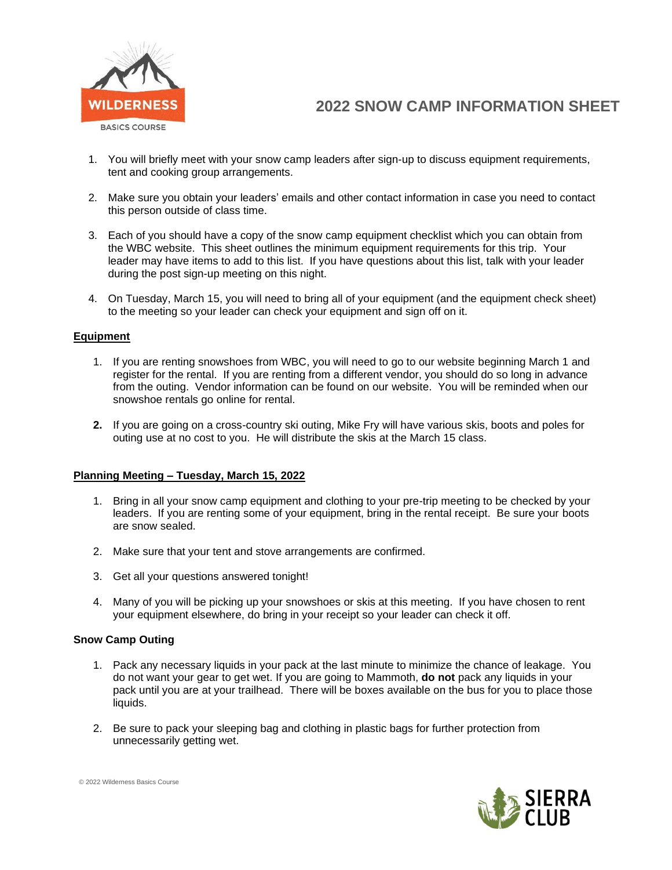

- 1. You will briefly meet with your snow camp leaders after sign-up to discuss equipment requirements, tent and cooking group arrangements.
- 2. Make sure you obtain your leaders' emails and other contact information in case you need to contact this person outside of class time.
- 3. Each of you should have a copy of the snow camp equipment checklist which you can obtain from the WBC website. This sheet outlines the minimum equipment requirements for this trip. Your leader may have items to add to this list. If you have questions about this list, talk with your leader during the post sign-up meeting on this night.
- 4. On Tuesday, March 15, you will need to bring all of your equipment (and the equipment check sheet) to the meeting so your leader can check your equipment and sign off on it.

#### **Equipment**

- 1. If you are renting snowshoes from WBC, you will need to go to our website beginning March 1 and register for the rental. If you are renting from a different vendor, you should do so long in advance from the outing. Vendor information can be found on our website. You will be reminded when our snowshoe rentals go online for rental.
- **2.** If you are going on a cross-country ski outing, Mike Fry will have various skis, boots and poles for outing use at no cost to you. He will distribute the skis at the March 15 class.

#### **Planning Meeting – Tuesday, March 15, 2022**

- 1. Bring in all your snow camp equipment and clothing to your pre-trip meeting to be checked by your leaders. If you are renting some of your equipment, bring in the rental receipt. Be sure your boots are snow sealed.
- 2. Make sure that your tent and stove arrangements are confirmed.
- 3. Get all your questions answered tonight!
- 4. Many of you will be picking up your snowshoes or skis at this meeting. If you have chosen to rent your equipment elsewhere, do bring in your receipt so your leader can check it off.

#### **Snow Camp Outing**

- 1. Pack any necessary liquids in your pack at the last minute to minimize the chance of leakage. You do not want your gear to get wet. If you are going to Mammoth, **do not** pack any liquids in your pack until you are at your trailhead. There will be boxes available on the bus for you to place those liquids.
- 2. Be sure to pack your sleeping bag and clothing in plastic bags for further protection from unnecessarily getting wet.



© 2022 Wilderness Basics Course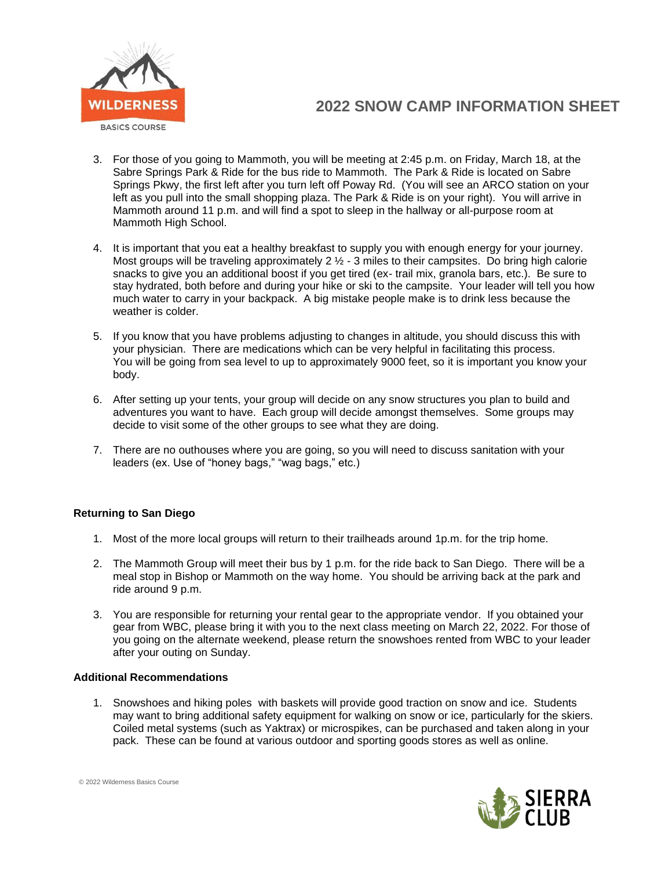

- 3. For those of you going to Mammoth, you will be meeting at 2:45 p.m. on Friday, March 18, at the Sabre Springs Park & Ride for the bus ride to Mammoth. The Park & Ride is located on Sabre Springs Pkwy, the first left after you turn left off Poway Rd. (You will see an ARCO station on your left as you pull into the small shopping plaza. The Park & Ride is on your right). You will arrive in Mammoth around 11 p.m. and will find a spot to sleep in the hallway or all-purpose room at Mammoth High School.
- 4. It is important that you eat a healthy breakfast to supply you with enough energy for your journey. Most groups will be traveling approximately  $2 \frac{1}{2}$  - 3 miles to their campsites. Do bring high calorie snacks to give you an additional boost if you get tired (ex- trail mix, granola bars, etc.). Be sure to stay hydrated, both before and during your hike or ski to the campsite. Your leader will tell you how much water to carry in your backpack. A big mistake people make is to drink less because the weather is colder.
- 5. If you know that you have problems adjusting to changes in altitude, you should discuss this with your physician. There are medications which can be very helpful in facilitating this process. You will be going from sea level to up to approximately 9000 feet, so it is important you know your body.
- 6. After setting up your tents, your group will decide on any snow structures you plan to build and adventures you want to have. Each group will decide amongst themselves. Some groups may decide to visit some of the other groups to see what they are doing.
- 7. There are no outhouses where you are going, so you will need to discuss sanitation with your leaders (ex. Use of "honey bags," "wag bags," etc.)

## **Returning to San Diego**

- 1. Most of the more local groups will return to their trailheads around 1p.m. for the trip home.
- 2. The Mammoth Group will meet their bus by 1 p.m. for the ride back to San Diego. There will be a meal stop in Bishop or Mammoth on the way home. You should be arriving back at the park and ride around 9 p.m.
- 3. You are responsible for returning your rental gear to the appropriate vendor. If you obtained your gear from WBC, please bring it with you to the next class meeting on March 22, 2022. For those of you going on the alternate weekend, please return the snowshoes rented from WBC to your leader after your outing on Sunday.

## **Additional Recommendations**

1. Snowshoes and hiking poles with baskets will provide good traction on snow and ice. Students may want to bring additional safety equipment for walking on snow or ice, particularly for the skiers. Coiled metal systems (such as Yaktrax) or microspikes, can be purchased and taken along in your pack. These can be found at various outdoor and sporting goods stores as well as online.



© 2022 Wilderness Basics Course